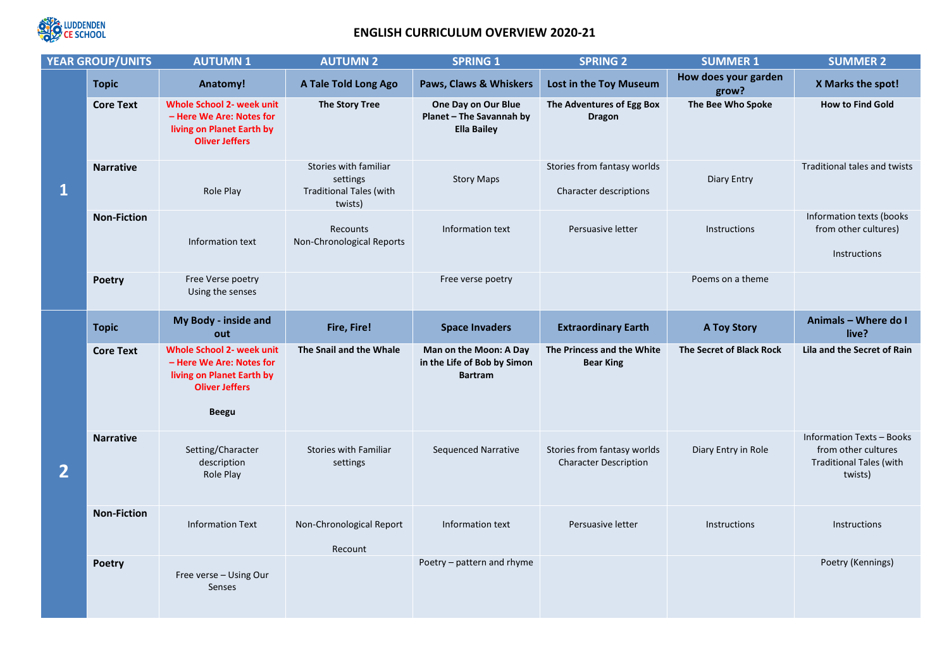

## **ENGLISH CURRICULUM OVERVIEW 2020-21**

| <b>YEAR GROUP/UNITS</b> |                    | <b>AUTUMN1</b>                                                                                                                     | <b>AUTUMN 2</b>                                                                | <b>SPRING 1</b>                                                         | <b>SPRING 2</b>                                             | <b>SUMMER 1</b>               | <b>SUMMER 2</b>                                                                                      |
|-------------------------|--------------------|------------------------------------------------------------------------------------------------------------------------------------|--------------------------------------------------------------------------------|-------------------------------------------------------------------------|-------------------------------------------------------------|-------------------------------|------------------------------------------------------------------------------------------------------|
|                         | <b>Topic</b>       | Anatomy!                                                                                                                           | A Tale Told Long Ago                                                           | Paws, Claws & Whiskers                                                  | Lost in the Toy Museum                                      | How does your garden<br>grow? | X Marks the spot!                                                                                    |
| $\mathbf{1}$            | <b>Core Text</b>   | <b>Whole School 2- week unit</b><br>- Here We Are: Notes for<br>living on Planet Earth by<br><b>Oliver Jeffers</b>                 | The Story Tree                                                                 | One Day on Our Blue<br>Planet - The Savannah by<br><b>Ella Bailey</b>   | The Adventures of Egg Box<br><b>Dragon</b>                  | The Bee Who Spoke             | <b>How to Find Gold</b>                                                                              |
|                         | <b>Narrative</b>   | Role Play                                                                                                                          | Stories with familiar<br>settings<br><b>Traditional Tales (with</b><br>twists) | <b>Story Maps</b>                                                       | Stories from fantasy worlds<br>Character descriptions       | Diary Entry                   | <b>Traditional tales and twists</b>                                                                  |
|                         | <b>Non-Fiction</b> | Information text                                                                                                                   | Recounts<br>Non-Chronological Reports                                          | Information text                                                        | Persuasive letter                                           | Instructions                  | Information texts (books<br>from other cultures)<br><b>Instructions</b>                              |
|                         | <b>Poetry</b>      | Free Verse poetry<br>Using the senses                                                                                              |                                                                                | Free verse poetry                                                       |                                                             | Poems on a theme              |                                                                                                      |
| $\overline{2}$          | <b>Topic</b>       | My Body - inside and<br>out                                                                                                        | Fire, Fire!                                                                    | <b>Space Invaders</b>                                                   | <b>Extraordinary Earth</b>                                  | <b>A Toy Story</b>            | Animals - Where do I<br>live?                                                                        |
|                         | <b>Core Text</b>   | <b>Whole School 2- week unit</b><br>- Here We Are: Notes for<br>living on Planet Earth by<br><b>Oliver Jeffers</b><br><b>Beegu</b> | The Snail and the Whale                                                        | Man on the Moon: A Day<br>in the Life of Bob by Simon<br><b>Bartram</b> | The Princess and the White<br><b>Bear King</b>              | The Secret of Black Rock      | Lila and the Secret of Rain                                                                          |
|                         | <b>Narrative</b>   | Setting/Character<br>description<br>Role Play                                                                                      | <b>Stories with Familiar</b><br>settings                                       | Sequenced Narrative                                                     | Stories from fantasy worlds<br><b>Character Description</b> | Diary Entry in Role           | <b>Information Texts - Books</b><br>from other cultures<br><b>Traditional Tales (with</b><br>twists) |
|                         | <b>Non-Fiction</b> | <b>Information Text</b>                                                                                                            | Non-Chronological Report<br>Recount                                            | Information text                                                        | Persuasive letter                                           | Instructions                  | Instructions                                                                                         |
|                         | <b>Poetry</b>      | Free verse - Using Our<br>Senses                                                                                                   |                                                                                | Poetry – pattern and rhyme                                              |                                                             |                               | Poetry (Kennings)                                                                                    |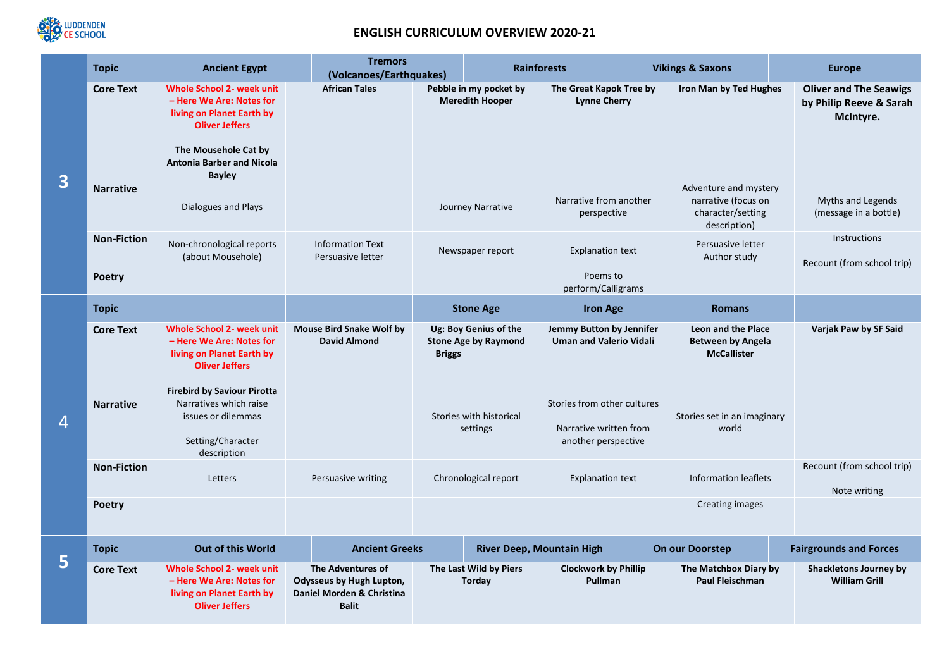

## **ENGLISH CURRICULUM OVERVIEW 2020-21**

| 3 | <b>Topic</b>       | <b>Ancient Egypt</b>                                                                                                                                                                            | <b>Tremors</b><br>(Volcanoes/Earthquakes)                                                         |                                                                       |                                         | <b>Rainforests</b>                                                           |                 | <b>Vikings &amp; Saxons</b>                                                       | <b>Europe</b>                                                         |
|---|--------------------|-------------------------------------------------------------------------------------------------------------------------------------------------------------------------------------------------|---------------------------------------------------------------------------------------------------|-----------------------------------------------------------------------|-----------------------------------------|------------------------------------------------------------------------------|-----------------|-----------------------------------------------------------------------------------|-----------------------------------------------------------------------|
|   | <b>Core Text</b>   | <b>Whole School 2- week unit</b><br>- Here We Are: Notes for<br>living on Planet Earth by<br><b>Oliver Jeffers</b><br>The Mousehole Cat by<br><b>Antonia Barber and Nicola</b><br><b>Bayley</b> | <b>African Tales</b>                                                                              | Pebble in my pocket by<br><b>Meredith Hooper</b>                      |                                         | The Great Kapok Tree by<br><b>Lynne Cherry</b>                               |                 | <b>Iron Man by Ted Hughes</b>                                                     | <b>Oliver and The Seawigs</b><br>by Philip Reeve & Sarah<br>McIntyre. |
|   | <b>Narrative</b>   | Dialogues and Plays                                                                                                                                                                             |                                                                                                   | Journey Narrative                                                     |                                         | Narrative from another<br>perspective                                        |                 | Adventure and mystery<br>narrative (focus on<br>character/setting<br>description) | Myths and Legends<br>(message in a bottle)                            |
|   | <b>Non-Fiction</b> | Non-chronological reports<br>(about Mousehole)                                                                                                                                                  | <b>Information Text</b><br>Persuasive letter                                                      | Newspaper report                                                      |                                         | <b>Explanation text</b>                                                      |                 | Persuasive letter<br>Author study                                                 | Instructions<br>Recount (from school trip)                            |
|   | <b>Poetry</b>      |                                                                                                                                                                                                 |                                                                                                   |                                                                       |                                         | Poems to<br>perform/Calligrams                                               |                 |                                                                                   |                                                                       |
| 4 | <b>Topic</b>       |                                                                                                                                                                                                 |                                                                                                   |                                                                       | <b>Stone Age</b>                        |                                                                              | <b>Iron Age</b> | <b>Romans</b>                                                                     |                                                                       |
|   | <b>Core Text</b>   | <b>Whole School 2- week unit</b><br>- Here We Are: Notes for<br>living on Planet Earth by<br><b>Oliver Jeffers</b><br><b>Firebird by Saviour Pirotta</b>                                        | <b>Mouse Bird Snake Wolf by</b><br><b>David Almond</b>                                            | Ug: Boy Genius of the<br><b>Stone Age by Raymond</b><br><b>Briggs</b> |                                         | Jemmy Button by Jennifer<br><b>Uman and Valerio Vidali</b>                   |                 | Leon and the Place<br><b>Between by Angela</b><br><b>McCallister</b>              | Varjak Paw by SF Said                                                 |
|   | <b>Narrative</b>   | Narratives which raise<br>issues or dilemmas<br>Setting/Character<br>description                                                                                                                |                                                                                                   | Stories with historical<br>settings                                   |                                         | Stories from other cultures<br>Narrative written from<br>another perspective |                 | Stories set in an imaginary<br>world                                              |                                                                       |
|   | <b>Non-Fiction</b> | Letters                                                                                                                                                                                         | Persuasive writing                                                                                | Chronological report                                                  |                                         | <b>Explanation text</b>                                                      |                 | <b>Information leaflets</b>                                                       | Recount (from school trip)<br>Note writing                            |
|   | <b>Poetry</b>      |                                                                                                                                                                                                 |                                                                                                   |                                                                       |                                         |                                                                              |                 | Creating images                                                                   |                                                                       |
| 5 | <b>Topic</b>       | Out of this World                                                                                                                                                                               | <b>Ancient Greeks</b>                                                                             |                                                                       |                                         | <b>River Deep, Mountain High</b>                                             |                 | On our Doorstep                                                                   | <b>Fairgrounds and Forces</b>                                         |
|   | <b>Core Text</b>   | <b>Whole School 2- week unit</b><br>- Here We Are: Notes for<br>living on Planet Earth by<br><b>Oliver Jeffers</b>                                                                              | The Adventures of<br><b>Odysseus by Hugh Lupton,</b><br>Daniel Morden & Christina<br><b>Balit</b> |                                                                       | The Last Wild by Piers<br><b>Torday</b> | <b>Clockwork by Phillip</b><br>Pullman                                       |                 | The Matchbox Diary by<br><b>Paul Fleischman</b>                                   | <b>Shackletons Journey by</b><br><b>William Grill</b>                 |